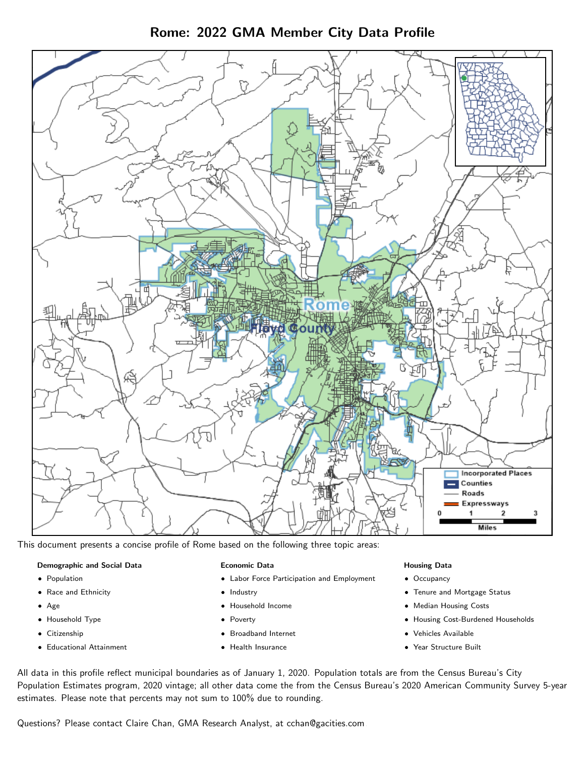Rome: 2022 GMA Member City Data Profile



This document presents a concise profile of Rome based on the following three topic areas:

#### Demographic and Social Data

- **•** Population
- Race and Ethnicity
- Age
- Household Type
- **Citizenship**
- Educational Attainment

#### Economic Data

- Labor Force Participation and Employment
- Industry
- Household Income
- Poverty
- Broadband Internet
- Health Insurance

#### Housing Data

- Occupancy
- Tenure and Mortgage Status
- Median Housing Costs
- Housing Cost-Burdened Households
- Vehicles Available
- Year Structure Built

All data in this profile reflect municipal boundaries as of January 1, 2020. Population totals are from the Census Bureau's City Population Estimates program, 2020 vintage; all other data come the from the Census Bureau's 2020 American Community Survey 5-year estimates. Please note that percents may not sum to 100% due to rounding.

Questions? Please contact Claire Chan, GMA Research Analyst, at [cchan@gacities.com.](mailto:cchan@gacities.com)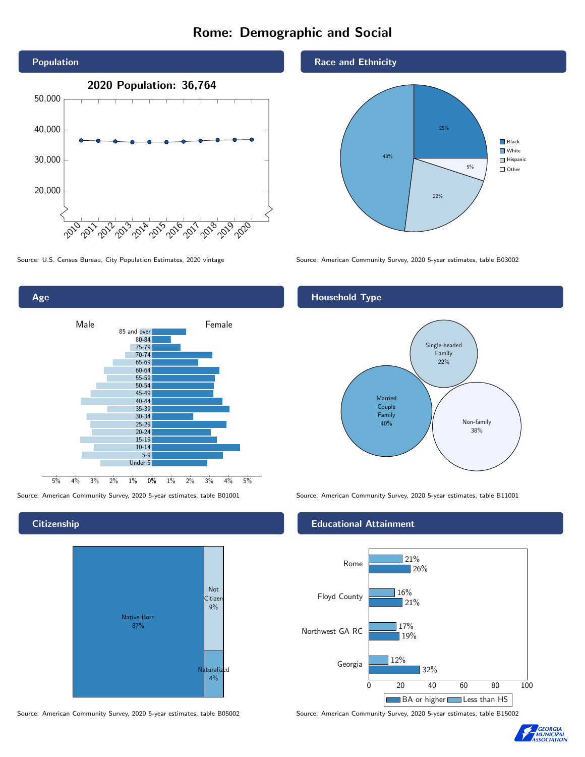# Rome: Demographic and Social





## **Citizenship**



Source: American Community Survey, 2020 5-year estimates, table B05002 Source: American Community Survey, 2020 5-year estimates, table B15002





Source: U.S. Census Bureau, City Population Estimates, 2020 vintage Source: American Community Survey, 2020 5-year estimates, table B03002

# Household Type



Source: American Community Survey, 2020 5-year estimates, table B01001 Source: American Community Survey, 2020 5-year estimates, table B11001

### Educational Attainment



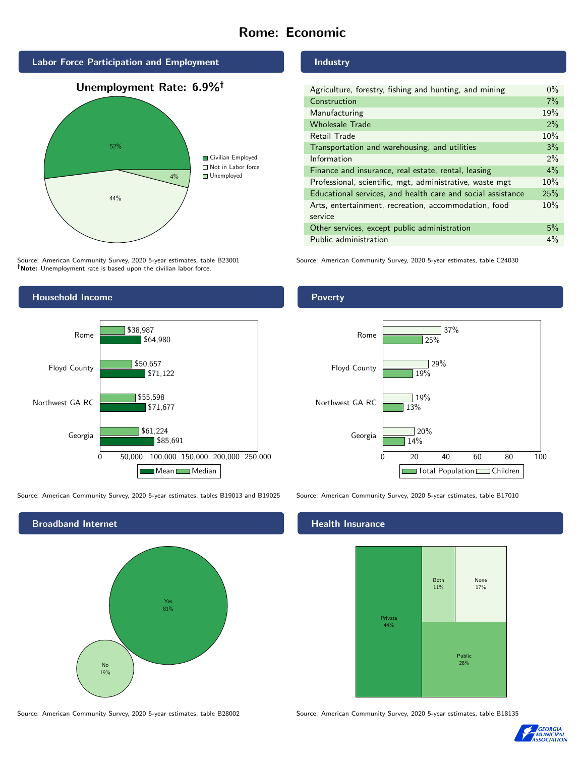# Rome: Economic







Source: American Community Survey, 2020 5-year estimates, table B23001 Note: Unemployment rate is based upon the civilian labor force.

## Industry

Poverty

| Agriculture, forestry, fishing and hunting, and mining      | $0\%$ |
|-------------------------------------------------------------|-------|
| Construction                                                | 7%    |
| Manufacturing                                               | 19%   |
| <b>Wholesale Trade</b>                                      | 2%    |
| Retail Trade                                                | 10%   |
| Transportation and warehousing, and utilities               | 3%    |
| Information                                                 | 2%    |
| Finance and insurance, real estate, rental, leasing         | $4\%$ |
| Professional, scientific, mgt, administrative, waste mgt    | 10%   |
| Educational services, and health care and social assistance | 25%   |
| Arts, entertainment, recreation, accommodation, food        | 10%   |
| service                                                     |       |
| Other services, except public administration                | 5%    |
| Public administration                                       | 4%    |

Source: American Community Survey, 2020 5-year estimates, table C24030



Source: American Community Survey, 2020 5-year estimates, tables B19013 and B19025 Source: American Community Survey, 2020 5-year estimates, table B17010



14%

 $720%$ 

13%

19%

 $19%$ 

25%

37%

 $129%$ 

### Health Insurance

Georgia

Northwest GA RC

Floyd County

Rome



0 20 40 60 80 100

Total Population Children

Source: American Community Survey, 2020 5-year estimates, table B28002 Source: American Community Survey, 2020 5-year estimates, table B18135